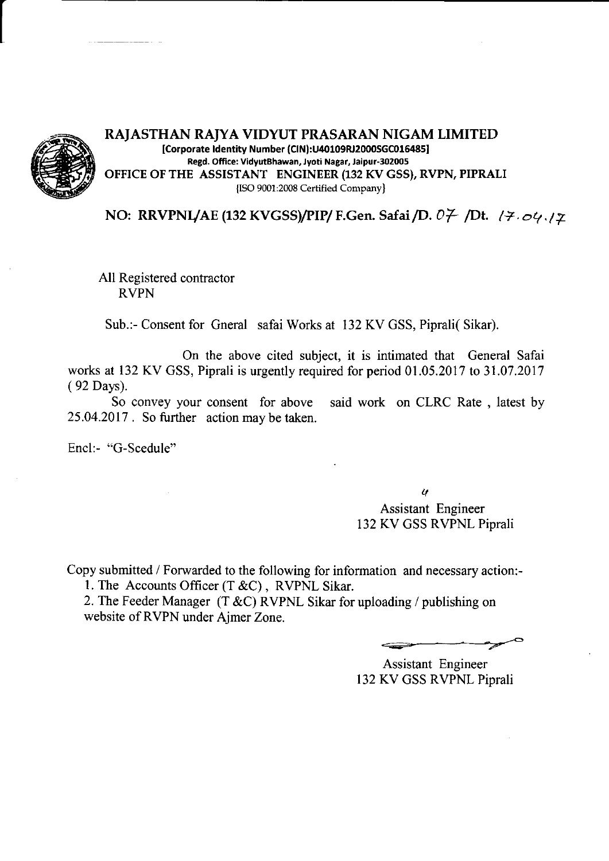

## RAIASTHAN RAJYA VIDYUT PRASARAN NIGAM LIMITED [Corporate Identity Number (CIN):U40109RJ2000SGC016485] Regd. Office: VidyutBhawan, Jyoti Nagar, Jaipur-302005 OFFICE OF THE ASSISTANT ENGINEER (132 KV GSS), RVPN, PIPRALI {ISO 9001:2008 Certified Company}

NO: RRVPNL/AE (132 KVGSS)/PIP/ F.Gen. Safai /D.  $07$  /Dt.  $17.04.12$ 

All Registered contractor RVPN

Sub.:- Consent for Gneral safai Works at l32KV GSS, Piprali( Sikar).

On the above cited subject, it is intimated that General Safai works at 132 KV GSS, Piprali is urgently required for period 01.05.2017 to 31.07 .2017 ( 92 Days).

So convey your consent for above said work on CLRC Rate, latest by 25.04.2017 . So further action may be taken.

Encl:- "G-Scedule"

 $\boldsymbol{q}$ Assistant Engineer 132 KV GSS RVPNL Piprali

Copy submitted / Forwarded to the following for information and necessary action:- 1. The Accounts Officer  $(T &c)$ , RVPNL Sikar.

2. The Feeder Manager (T &C) RVPNL Sikar for uploading / publishing on website of RVPN under Ajmer Zone.

 $\overbrace{\phantom{aaaaa}}^{x}$ 

Assistant Engineer 132 KV GSS RVPNL Piprali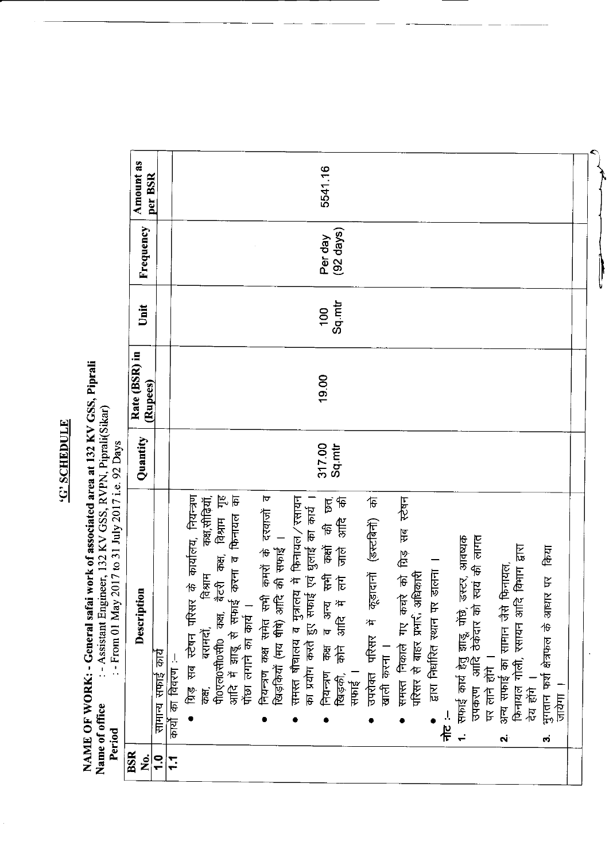## **C'SCHEDULE**

NAME OF WORK: - General safai work of associated area at 132 KV GSS, Piprali Name of office : - Assistant Engineer, 132 KV GSS, RVPN, Piprali(Sikar)<br>Period Fortiod : - From 01 May 2017 to 31 July 2017 i.e. 92 Days

|     | Description                                                                              | Quantity | Rate (BSR) in<br>(Rupees) | Unit   | Frequency           | <b>Amount</b> as<br>per BSR |
|-----|------------------------------------------------------------------------------------------|----------|---------------------------|--------|---------------------|-----------------------------|
|     | सामान्य सफाई कार्य                                                                       |          |                           |        |                     |                             |
|     | कार्यो का विवरण :-                                                                       |          |                           |        |                     |                             |
|     | ग्रिड सब स्टेषन परिसर के कार्यालय, नियन्त्रण                                             |          |                           |        |                     |                             |
|     | कक्ष, सीढियाँ,<br>विश्राम<br>बरामदों,<br>केस,                                            |          |                           |        |                     |                             |
|     | ्ण्क्ष,साढियाँ,<br>आदि में झाडू से सफाई करना व फिनायल का<br>पोंछा लगाने का कार्य ।       |          |                           |        |                     |                             |
|     |                                                                                          |          |                           |        |                     |                             |
|     | नियन्त्रण कक्ष सर्मत सभी कमरों के दरवाजों व<br>खिड़कियों (मय षीषे) अदि की सफाई ।         |          |                           |        |                     |                             |
|     |                                                                                          |          |                           |        |                     |                             |
|     | समस्त षौचालय व मुत्रालय में फिनायल/रसायन<br>का प्रयोग करते हुए सफाई एवं धुलाई का कार्य । |          |                           |        |                     |                             |
|     | व अन्य सभी कक्षों की छत्,<br>आदि में लगे जाले आदि की<br>नियन्त्रण कक्ष                   | 317.00   | 19.00                     | 100    | Per day             | 5541.16                     |
|     | कोने आदि<br>सफाई ।<br>खिड़की,                                                            |          |                           | Sq.mtr | $(92 \text{ days})$ |                             |
|     | 市 (Felsier) (Finals)<br>ouver ufter if                                                   |          |                           |        |                     |                             |
|     | खाली करना ।                                                                              |          |                           |        |                     |                             |
|     | समस्त निकाले गए कचरे को ग्रिड़ सब स्टेषन<br>परिसर से बाहर प्रभारी अधिकारी                |          |                           |        |                     |                             |
|     |                                                                                          |          |                           |        |                     |                             |
|     | द्वारा निर्धारित स्थान पर डालना ।                                                        |          |                           |        |                     |                             |
| 上半  |                                                                                          |          |                           |        |                     |                             |
|     |                                                                                          |          |                           |        |                     |                             |
|     | 1. सफाई कार्य हेतु झाडू, पोंछे, डस्टर, आवष्यक<br>उपकरण आदि ठेकेदार को स्वयं की लागत      |          |                           |        |                     |                             |
|     | 一福怎斤                                                                                     |          |                           |        |                     |                             |
| Ń   | अन्य सफाई का सामान जैसे फिनायल,                                                          |          |                           |        |                     |                             |
|     | फिनायल गोली, रसायन आदि विभाग द्वारा                                                      |          |                           |        |                     |                             |
|     | 高忍                                                                                       |          |                           |        |                     |                             |
| က္ပ | भुगतान फर्श क्षेत्रफल के आधार पर किया                                                    |          |                           |        |                     |                             |
|     | 与存方                                                                                      |          |                           |        |                     |                             |
|     |                                                                                          |          |                           |        |                     |                             |

 $\begin{matrix} \color{blue}{\color{blue}\textbf{1}} \end{matrix}$